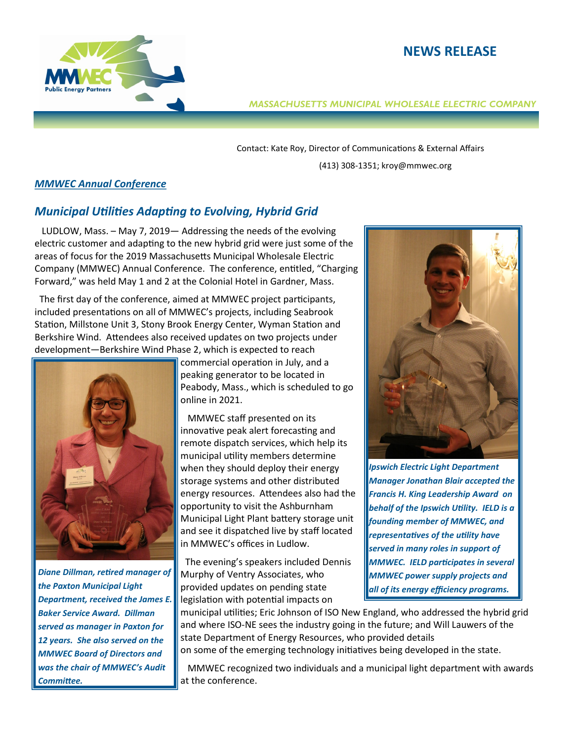



## *MASSACHUSETTS MUNICIPAL WHOLESALE ELECTRIC COMPANY*

Contact: Kate Roy, Director of Communications & External Affairs (413) 308-1351; kroy@mmwec.org

## *MMWEC Annual Conference*

## *Municipal Utilities Adapting to Evolving, Hybrid Grid*

 LUDLOW, Mass. – May 7, 2019— Addressing the needs of the evolving electric customer and adapting to the new hybrid grid were just some of the areas of focus for the 2019 Massachusetts Municipal Wholesale Electric Company (MMWEC) Annual Conference. The conference, entitled, "Charging Forward," was held May 1 and 2 at the Colonial Hotel in Gardner, Mass.

 The first day of the conference, aimed at MMWEC project participants, included presentations on all of MMWEC's projects, including Seabrook Station, Millstone Unit 3, Stony Brook Energy Center, Wyman Station and Berkshire Wind. Attendees also received updates on two projects under development—Berkshire Wind Phase 2, which is expected to reach



*Diane Dillman, retired manager of the Paxton Municipal Light Department, received the James E. Baker Service Award. Dillman served as manager in Paxton for 12 years. She also served on the MMWEC Board of Directors and was the chair of MMWEC's Audit Committee.* 

commercial operation in July, and a peaking generator to be located in Peabody, Mass., which is scheduled to go online in 2021.

 MMWEC staff presented on its innovative peak alert forecasting and remote dispatch services, which help its municipal utility members determine when they should deploy their energy storage systems and other distributed energy resources. Attendees also had the opportunity to visit the Ashburnham Municipal Light Plant battery storage unit and see it dispatched live by staff located in MMWEC's offices in Ludlow.

 The evening's speakers included Dennis Murphy of Ventry Associates, who provided updates on pending state legislation with potential impacts on



*Ipswich Electric Light Department Manager Jonathan Blair accepted the Francis H. King Leadership Award on behalf of the Ipswich Utility. IELD is a founding member of MMWEC, and representatives of the utility have served in many roles in support of MMWEC. IELD participates in several MMWEC power supply projects and all of its energy efficiency programs.* 

municipal utilities; Eric Johnson of ISO New England, who addressed the hybrid grid and where ISO-NE sees the industry going in the future; and Will Lauwers of the state Department of Energy Resources, who provided details

on some of the emerging technology initiatives being developed in the state.

 MMWEC recognized two individuals and a municipal light department with awards at the conference.